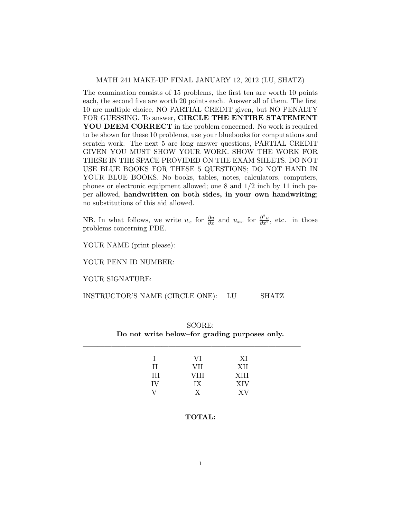## MATH 241 MAKE-UP FINAL JANUARY 12, 2012 (LU, SHATZ)

The examination consists of 15 problems, the first ten are worth 10 points each, the second five are worth 20 points each. Answer all of them. The first 10 are multiple choice, NO PARTIAL CREDIT given, but NO PENALTY FOR GUESSING. To answer, CIRCLE THE ENTIRE STATEMENT YOU DEEM CORRECT in the problem concerned. No work is required to be shown for these 10 problems, use your bluebooks for computations and scratch work. The next 5 are long answer questions, PARTIAL CREDIT GIVEN–YOU MUST SHOW YOUR WORK. SHOW THE WORK FOR THESE IN THE SPACE PROVIDED ON THE EXAM SHEETS. DO NOT USE BLUE BOOKS FOR THESE 5 QUESTIONS; DO NOT HAND IN YOUR BLUE BOOKS. No books, tables, notes, calculators, computers, phones or electronic equipment allowed; one 8 and 1/2 inch by 11 inch paper allowed, handwritten on both sides, in your own handwriting; no substitutions of this aid allowed.

NB. In what follows, we write  $u_x$  for  $\frac{\partial u}{\partial x}$  and  $u_{xx}$  for  $\frac{\partial^2 u}{\partial x^2}$ , etc. in those problems concerning PDE.

YOUR NAME (print please):

YOUR PENN ID NUMBER:

YOUR SIGNATURE:

INSTRUCTOR'S NAME (CIRCLE ONE): LU SHATZ

|               | VI   | XI         |  |
|---------------|------|------------|--|
| П             | VII  | XII        |  |
| III           | VIII | XIII       |  |
| IV            | IX   | <b>XIV</b> |  |
|               | X    | XV         |  |
| <b>TOTAL:</b> |      |            |  |

SCORE: Do not write below–for grading purposes only.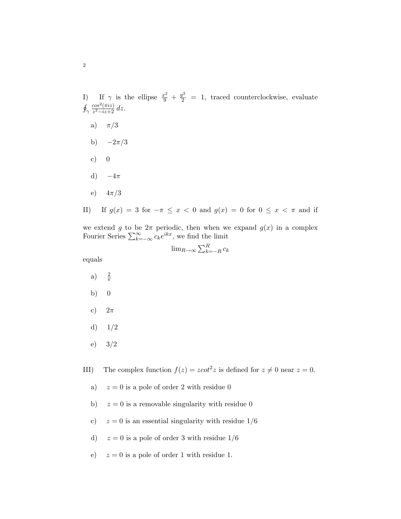I) If  $\gamma$  is the ellipse  $\frac{x^2}{9} + \frac{y^2}{2} = 1$ , traced counterclockwise, evaluate  $\oint_{\gamma}$  $cos^2(\pi i z)$  $\frac{cos^2(\pi i z)}{z^2 - iz + 2} dz.$ 

- a)  $\pi/3$
- b)  $-2\pi/3$
- c)  $0$
- d)  $-4\pi$
- e)  $4\pi/3$
- II) If  $g(x) = 3$  for  $-\pi \le x < 0$  and  $g(x) = 0$  for  $0 \le x < \pi$  and if

we extend g to be  $2\pi$  periodic, then when we expand  $g(x)$  in a complex Fourier Series  $\sum_{k=-\infty}^{\infty} c_k e^{ikx}$ , we find the limit

$$
\lim_{R \to \infty} \sum_{k=-R}^{R} c_k
$$

equals

- a)  $\frac{2}{\pi}$
- b) 0
- c)  $2\pi$
- d)  $1/2$
- e) 3/2

III) The complex function  $f(z) = z \cot^2 z$  is defined for  $z \neq 0$  near  $z = 0$ .

- a)  $z = 0$  is a pole of order 2 with residue 0
- b)  $z = 0$  is a removable singularity with residue 0
- c)  $z = 0$  is an essential singularity with residue  $1/6$
- d)  $z = 0$  is a pole of order 3 with residue  $1/6$
- e)  $z = 0$  is a pole of order 1 with residue 1.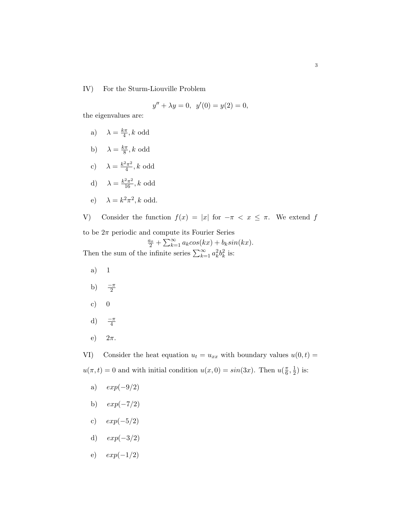IV) For the Sturm-Liouville Problem

$$
y'' + \lambda y = 0, \ \ y'(0) = y(2) = 0,
$$

the eigenvalues are:

a) 
$$
\lambda = \frac{k\pi}{4}, k \text{ odd}
$$

b)  $\lambda = \frac{k\pi}{8}$  $\frac{2\pi}{8}$ , k odd

c) 
$$
\lambda = \frac{k^2 \pi^2}{4}
$$
, k odd

d) 
$$
\lambda = \frac{k^2 \pi^2}{16}, k \text{ odd}
$$

$$
e) \quad \lambda = k^2 \pi^2, k \text{ odd.}
$$

V) Consider the function  $f(x) = |x|$  for  $-\pi < x \leq \pi$ . We extend f to be  $2\pi$  periodic and compute its Fourier Series

 $\frac{a_o}{2} + \sum_{k=1}^{\infty} a_k cos(kx) + b_k sin(kx).$ Then the sum of the infinite series  $\sum_{k=1}^{\infty} a_k^2 b_k^2$  is:

- a) 1
- b)  $\frac{-\pi}{2}$
- c)  $0$
- d)  $\frac{-\pi}{4}$
- e)  $2\pi$ .

VI) Consider the heat equation  $u_t = u_{xx}$  with boundary values  $u(0, t) =$  $u(\pi, t) = 0$  and with initial condition  $u(x, 0) = \sin(3x)$ . Then  $u(\frac{\pi}{6})$  $\frac{\pi}{6}, \frac{1}{2}$  $(\frac{1}{2})$  is:

- a)  $exp(-9/2)$
- b)  $exp(-7/2)$
- c)  $exp(-5/2)$
- d)  $exp(-3/2)$
- e)  $exp(-1/2)$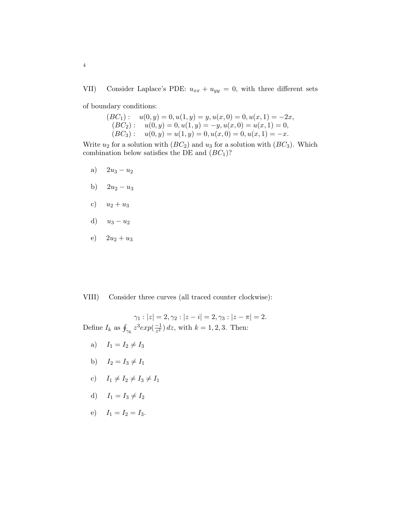VII) Consider Laplace's PDE:  $u_{xx} + u_{yy} = 0$ , with three different sets

of boundary conditions:

$$
(BC1): u(0, y) = 0, u(1, y) = y, u(x, 0) = 0, u(x, 1) = -2x,(BC2): u(0, y) = 0, u(1, y) = -y, u(x, 0) = u(x, 1) = 0,(BC3): u(0, y) = u(1, y) = 0, u(x, 0) = 0, u(x, 1) = -x.
$$

Write  $u_2$  for a solution with  $(BC_2)$  and  $u_3$  for a solution with  $(BC_3)$ . Which combination below satisfies the DE and  $(BC<sub>1</sub>)$ ?

- a)  $2u_3 u_2$
- b)  $2u_2 u_3$
- c)  $u_2 + u_3$
- d)  $u_3 u_2$
- e)  $2u_2 + u_3$

VIII) Consider three curves (all traced counter clockwise):

 $\gamma_1 : |z| = 2, \gamma_2 : |z - i| = 2, \gamma_3 : |z - \pi| = 2.$ Define  $I_k$  as  $\oint_{\gamma_k} z^3 exp(\frac{-1}{z^2})$  $\frac{-1}{z^2}$ ) dz, with  $k = 1, 2, 3$ . Then:

- a)  $I_1 = I_2 \neq I_3$
- b)  $I_2 = I_3 \neq I_1$
- c)  $I_1 \neq I_2 \neq I_3 \neq I_1$
- d)  $I_1 = I_3 \neq I_2$
- e)  $I_1 = I_2 = I_3$ .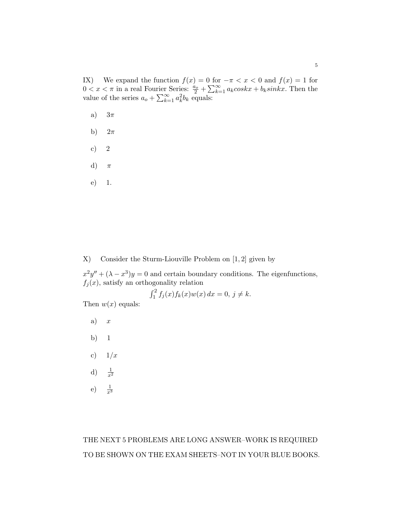IX) We expand the function  $f(x) = 0$  for  $-\pi < x < 0$  and  $f(x) = 1$  for  $0 < x < \pi$  in a real Fourier Series:  $\frac{a_o}{2} + \sum_{k=1}^{\infty} a_k \cos kx + b_k \sin kx$ . Then the value of the series  $a_o + \sum_{k=1}^{\infty} a_k^2 b_k$  equals:

- a)  $3\pi$
- b)  $2\pi$
- c) 2
- d)  $\pi$
- e) 1.

X) Consider the Sturm-Liouville Problem on [1, 2] given by

 $x^2y'' + (\lambda - x^3)y = 0$  and certain boundary conditions. The eigenfunctions,  $f_j(x)$ , satisfy an orthogonality relation

$$
\int_{1}^{2} f_{j}(x) f_{k}(x) w(x) dx = 0, j \neq k.
$$

Then  $w(x)$  equals:

- a)  $x$
- b) 1
- c)  $1/x$
- d)  $\frac{1}{x^2}$
- e) <sup>1</sup>  $\frac{1}{x^3}$

## THE NEXT 5 PROBLEMS ARE LONG ANSWER–WORK IS REQUIRED TO BE SHOWN ON THE EXAM SHEETS–NOT IN YOUR BLUE BOOKS.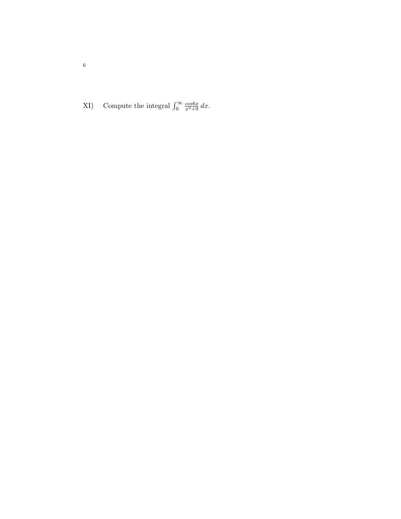XI) Compute the integral  $\int_0^\infty$  $\frac{\cos 6x}{x^2+9} dx$ .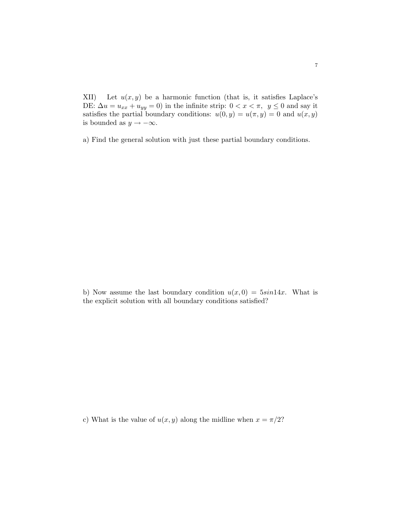XII) Let  $u(x, y)$  be a harmonic function (that is, it satisfies Laplace's DE:  $\Delta u = u_{xx} + u_{yy} = 0$ ) in the infinite strip:  $0 < x < \pi$ ,  $y \le 0$  and say it satisfies the partial boundary conditions:  $u(0, y) = u(\pi, y) = 0$  and  $u(x, y)$ is bounded as  $y \to -\infty$ .

a) Find the general solution with just these partial boundary conditions.

b) Now assume the last boundary condition  $u(x, 0) = 5sin 14x$ . What is the explicit solution with all boundary conditions satisfied?

c) What is the value of  $u(x, y)$  along the midline when  $x = \pi/2$ ?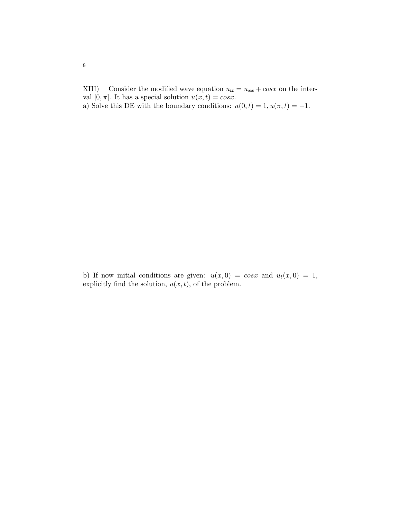XIII) Consider the modified wave equation  $u_{tt} = u_{xx} + cos x$  on the interval  $[0, \pi]$ . It has a special solution  $u(x, t) = cos x$ . a) Solve this DE with the boundary conditions:  $u(0,t) = 1, u(\pi, t) = -1$ .

b) If now initial conditions are given:  $u(x, 0) = \cos x$  and  $u_t(x, 0) = 1$ , explicitly find the solution,  $u(x, t)$ , of the problem.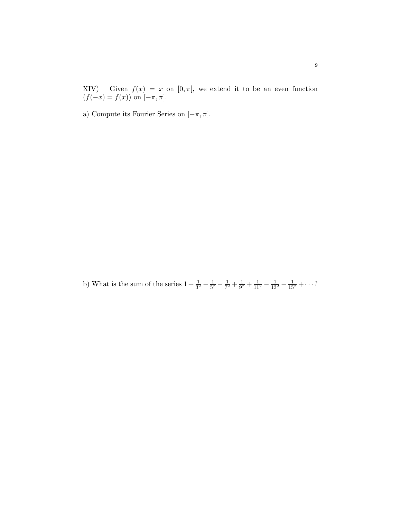XIV) Given  $f(x) = x$  on  $[0, \pi]$ , we extend it to be an even function  $(f(-x) = f(x))$  on  $[-\pi, \pi]$ .

a) Compute its Fourier Series on  $[-\pi,\pi].$ 

b) What is the sum of the series  $1 + \frac{1}{3^2} - \frac{1}{5^2}$  $rac{1}{5^2} - \frac{1}{7^2}$  $\frac{1}{7^2} + \frac{1}{9^2}$  $\frac{1}{9^2} + \frac{1}{11^2} - \frac{1}{13^2} - \frac{1}{15^2} + \cdots$ ?